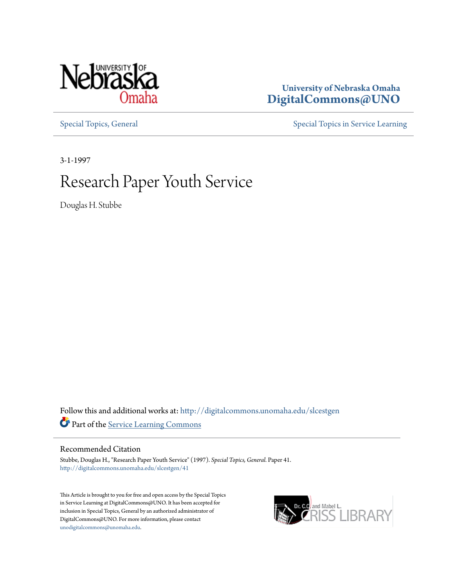

# **University of Nebraska Omaha [DigitalCommons@UNO](http://digitalcommons.unomaha.edu?utm_source=digitalcommons.unomaha.edu%2Fslcestgen%2F41&utm_medium=PDF&utm_campaign=PDFCoverPages)**

[Special Topics, General](http://digitalcommons.unomaha.edu/slcestgen?utm_source=digitalcommons.unomaha.edu%2Fslcestgen%2F41&utm_medium=PDF&utm_campaign=PDFCoverPages) [Special Topics in Service Learning](http://digitalcommons.unomaha.edu/slcespecialtopics?utm_source=digitalcommons.unomaha.edu%2Fslcestgen%2F41&utm_medium=PDF&utm_campaign=PDFCoverPages)

3-1-1997

# Research Paper Youth Service

Douglas H. Stubbe

Follow this and additional works at: [http://digitalcommons.unomaha.edu/slcestgen](http://digitalcommons.unomaha.edu/slcestgen?utm_source=digitalcommons.unomaha.edu%2Fslcestgen%2F41&utm_medium=PDF&utm_campaign=PDFCoverPages) Part of the [Service Learning Commons](http://network.bepress.com/hgg/discipline/1024?utm_source=digitalcommons.unomaha.edu%2Fslcestgen%2F41&utm_medium=PDF&utm_campaign=PDFCoverPages)

#### Recommended Citation

Stubbe, Douglas H., "Research Paper Youth Service" (1997). *Special Topics, General.* Paper 41. [http://digitalcommons.unomaha.edu/slcestgen/41](http://digitalcommons.unomaha.edu/slcestgen/41?utm_source=digitalcommons.unomaha.edu%2Fslcestgen%2F41&utm_medium=PDF&utm_campaign=PDFCoverPages)

This Article is brought to you for free and open access by the Special Topics in Service Learning at DigitalCommons@UNO. It has been accepted for inclusion in Special Topics, General by an authorized administrator of DigitalCommons@UNO. For more information, please contact [unodigitalcommons@unomaha.edu](mailto:unodigitalcommons@unomaha.edu).

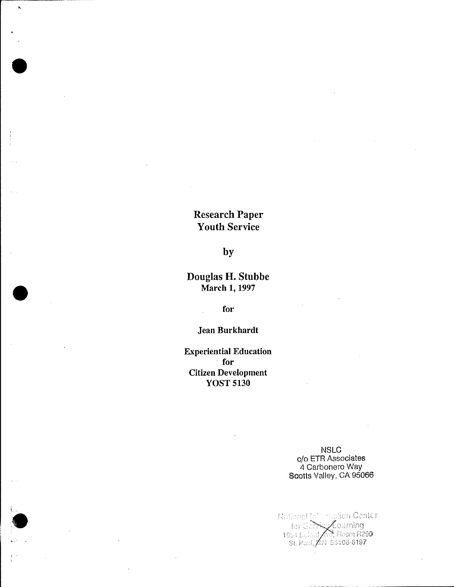# Research Paper Youth Service

•

 $\ddot{\phantom{1}}$ 

•

 $\mathfrak{l}_{\mathbb{Z}_2}$ 

 $\bullet$ 

### by

## Douglas H. Stubbe March 1, 1997

for

Jean Burkhardt

Experiential Education for Citizen Development YOST 5130

> NSLC c/o ETR Associates 4 Carbonero Way Scotts Valley, CA 95066

National Joff mation Center Feature 1998<br>The Service Coming<br>1954 Eccord Mo, Room R290<br>St. Paul, AN 55108-6197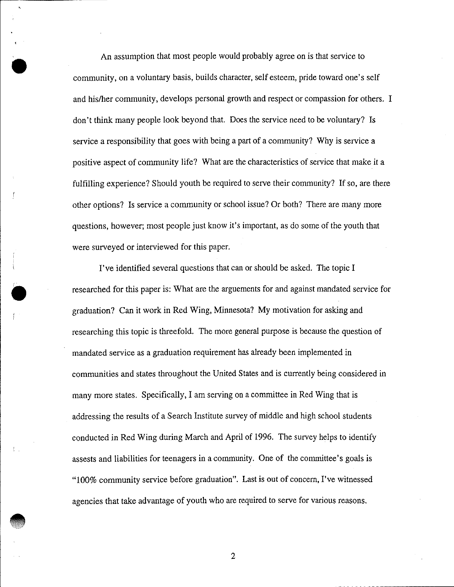An assumption that most people would probably agree on is that service to community, on a voluntary basis, builds character, self esteem, pride toward one's self and his/her community, develops personal growth and respect or compassion for others. I don't think many people look beyond that. Does the service need to be voluntary? Is service a responsibility that goes with being a part of a community? Why is service a positive aspect of community life? What are the characteristics of service that make it a fulfilling experience? Should youth be required to serve their community? If so, are there other options? Is service a community or school issue? Or both? There are many more questions, however; most people just know it's important, as do some of the youth that were surveyed or interviewed for this paper.

•

 $\mathbf{r}$ 

 $\bullet$ 

•

 $\mathcal{L}$ 

I've identified several questions that can or should be asked. The topic I researched for this paper is: What are the arguements for and against mandated service for graduation? Can it work in Red Wing, Minnesota? My motivation for asking and researching this topic is threefold. The more general purpose is because the question of mandated service as a graduation requirement has already been implemented in communities and states throughout the United States and is currently being considered in many more states. Specifically, I am serving on a committee in Red Wing that is addressing the results of a Search Institute survey of middle and high school students conducted in Red Wing during March and April of 1996. The survey helps to identify assests and liabilities for teenagers in a community. One of the committee's goals is "100% community service before graduation". Last is out of concern, I've witnessed agencies that take advantage of youth who are required to serve for various reasons .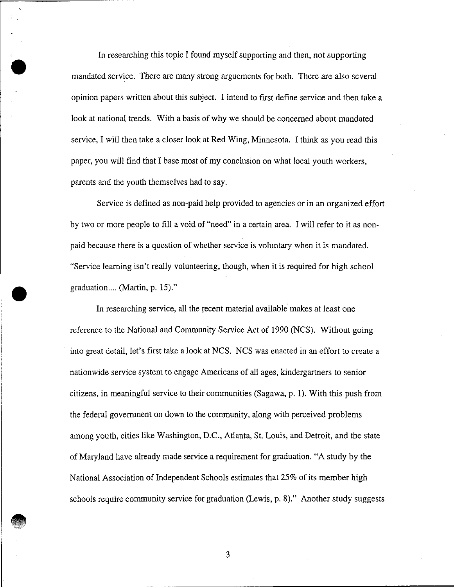In researching this topic I found myself supporting and then, not supporting mandated service. There are many strong arguements for both. There are also several opinion papers written about this subject. I intend to first define service and then take a look at national trends. With a basis of why we should be concerned about mandated service, I will then take a closer look at Red Wing, Minnesota. I think as you read this paper, you will find that I base most of my conclusion on what local youth workers, parents and the youth themselves had to say.

 $\bullet$ 

 $\bar{\mathbf{k}}$ 

•

•

Service is defined as non-paid help provided to agencies or in an organized effort by two or more people to fill a void of "need" in a certain area. I will refer to it as nonpaid because there is a question of whether service is voluntary when it is mandated. "Service learning isn't really volunteering, though, when it is required for high school graduation.... (Martin, p. 15)."

In researching service, all the recent material available makes at least one reference to the National and Community Service Act of 1990 (NCS). Without going into great detail, let's first take a look at NCS. NCS was enacted in an effort to create a nationwide service system to engage Americans of all ages, kindergartners to senior citizens, in meaningful service to their communities (Sagawa, p. 1). With this push from the federal government on down to the community, along with perceived problems among youth, cities like Washington, D.C., Atlanta, St. Louis, and Detroit, and the state of Maryland have already made service a requirement for graduation. "A study by the National Association of Independent Schools estimates that 25% of its member high schools require community service for graduation (Lewis, p. 8)." Another study suggests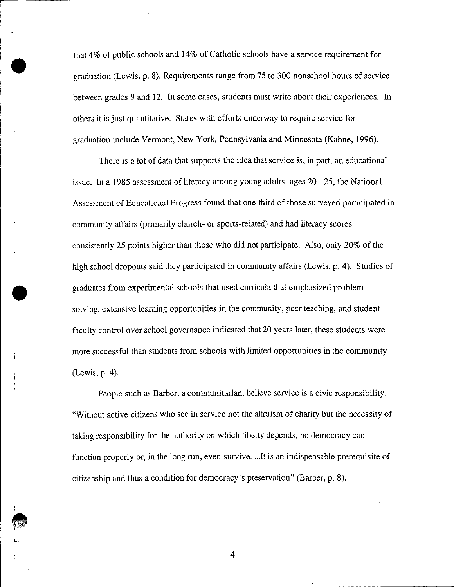that 4% of public schools and 14% of Catholic schools have a service requirement for graduation (Lewis, p. 8). Requirements range from 75 to 300 nonschool hours of service between grades 9 and 12. In some cases, students must write about their experiences. In others it is just quantitative. States with efforts underway to require service for graduation include Vermont, New York, Pennsylvania and Minnesota (Kahne, 1996).

•

 $\ddot{\phantom{1}}$ 

 $\lfloor$ 

- L

There is a lot of data that supports the idea that service is, in part, an educational issue. In a 1985 assessment of literacy among young adults, ages 20- 25, the National Assessment of Educational Progress found that one-third of those surveyed participated in community affairs (primarily church- or sports-related) and had literacy scores consistently 25 points higher than those who did not participate. Also, only 20% of the high school dropouts said they participated in community affairs (Lewis, p. 4). Studies of • graduates from experimental schools that used curricula that emphasized problemsolving, extensive learning opportunities in the community, peer teaching, and studentfaculty control over school governance indicated that 20 years later, these students were more successful than students from schools with limited opportunities in the community  $( Lewis, p. 4).$ 

People such as Barber, a communitarian, believe service is a civic responsibility. "Without active citizens who see in service not the altruism of charity but the necessity of taking responsibility for the authority on which liberty depends, no democracy can function properly or, in the long run, even survive .... It is an indispensable prerequisite of citizenship and thus a condition for democracy's preservation" (Barber, p. 8).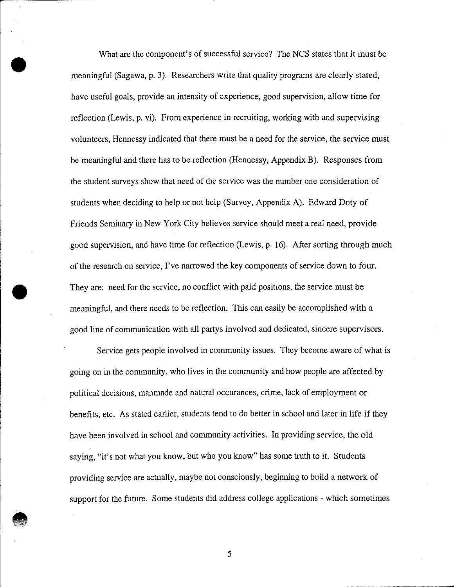What are the component's of successful service? The NCS states that it must be meaningful (Sagawa, p. 3). Researchers write that quality programs are clearly stated, have useful goals, provide an intensity of experience, good supervision, allow time for reflection (Lewis, p. vi). From experience in recruiting, working with and supervising volunteers, Hennessy indicated that there must be a need for the service, the service must be meaningful and there has to be reflection (Hennessy, Appendix B). Responses from the student surveys show that need of the service was the number one consideration of students when deciding to help or not help (Survey, Appendix A). Edward Doty of Friends Seminary in New York City believes service should meet a real need, provide good supervision, and have time for reflection (Lewis, p. 16). After sorting through much of the research on service, I've narrowed the key components of service down to four. They are: need for the service, no conflict with paid positions, the service must be meaningful, and there needs to be reflection. This can easily be accomplished with a good line of communication with all partys involved and dedicated, sincere supervisors.

•

•

•

Service gets people involved in community issues. They become aware of what is going on in the community, who lives in the community and how people are affected by political decisions, manmade and natural occurances, crime, lack of employment or benefits, etc. As stated earlier, students tend to do better in school and later in life if they have been involved in school and community activities. In providing service, the old saying, "it's not what you know, but who you know" has some truth to it. Students providing service are actually, maybe not consciously, beginning to build a network of support for the future. Some students did address college applications - which sometimes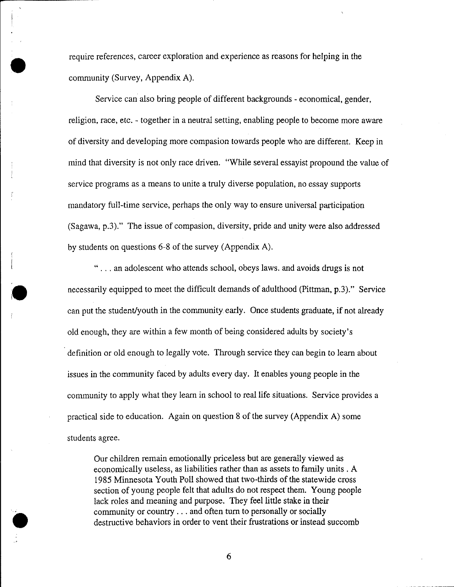require references, career exploration and experience as reasons for helping in the community (Survey, Appendix A).

•

•

Service can also bring people of different backgrounds - economical, gender, religion, race, etc. - together in a neutral setting, enabling people to become more aware of diversity and developing more compasion towards people who are different. Keep in mind that diversity is not only race driven. "While several essayist propound the value of service programs as a means to unite a truly diverse population, no essay supports mandatory full-time service, perhaps the only way to ensure universal participation (Sagawa, p.3)." The issue of compasion, diversity, pride and unity were also addressed by students on questions 6-8 of the survey (Appendix A).

" ... an adolescent who attends school, obeys laws. and avoids drugs is not necessarily equipped to meet the difficult demands of adulthood (Pittman, p.3)." Service can put the student/youth in the community early. Once students graduate, if not already old enough, they are within a few month of being considered adults by society's definition or old enough to legally vote. Through service they can begin to learn about issues in the community faced by adults every day. It enables young people in the community to apply what they learn in school to real life situations. Service provides a practical side to education. Again on question 8 of the survey (Appendix A) some students agree.

Our children remain emotionally priceless but are generally viewed as economically useless, as liabilities rather than as assets to family units . A 1985 Minnesota Youth Poll showed that two-thirds of the statewide cross section of young people felt that adults do not respect them. Young people lack roles and meaning and purpose. They feel little stake in their community or country ... and often turn to personally or socially destructive behaviors in order to vent their frustrations or instead succomb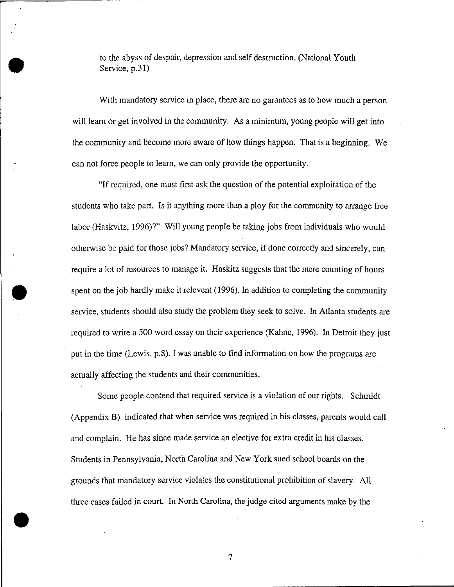to the abyss of despair, depression and self destruction. (National Youth Service, p.31)

•

•

•

With mandatory service in place, there are no garantees as to how much a person will learn or get involved in the community. As a minimum, young people will get into the community and become more aware of how things happen. That is a beginning. We can not force people to learn, we can only provide the opportunity.

"If required, one must first ask the question of the potential exploitation of the students who take part. Is it anything more than a ploy for the community to arrange free labor (Haskvitz, 1996)?" Will young people be taking jobs from individuals who would otherwise be paid for those jobs? Mandatory service, if done correctly and sincerely, can require a lot of resources to manage it. Haskitz suggests that the mere counting of hours spent on the job hardly make it relevent (1996). In addition to completing the community service, students should also study the problem they seek to solve. In Atlanta students are required to write a 500 word essay on their experience (Kahne, 1996). In Detroit they just put in the time (Lewis, p.8). I was unable to find information on how the programs are actually affecting the students and their communities.

Some people contend that required service is a violation of our rights. Schmidt (Appendix B) indicated that when service was required in his classes, parents would call and complain. He has since made service an elective for extra credit in his classes. Students in Pennsylvania, North Carolina and New York sued school boards on the grounds that mandatory service violates the constitutional prohibition of slavery. All three cases failed in court. In North Carolina, the judge cited arguments make by the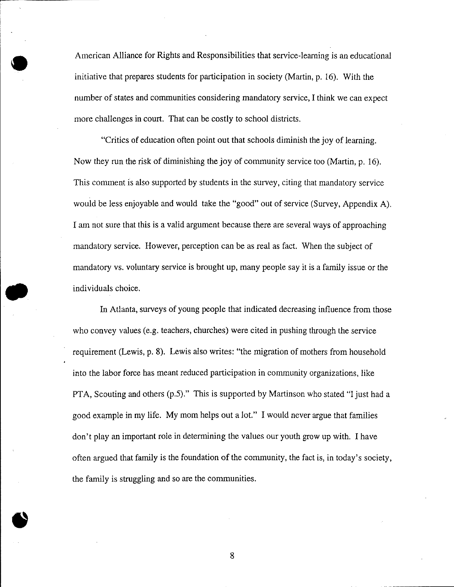• American Alliance for Rights and Responsibilities that service-learning is an educational initiative that prepares students for participation in society (Martin, p. 16). With the number of states and communities considering mandatory service, I think we can expect more challenges in court. That can be costly to school districts.

"Critics of education often point out that schools diminish the joy of learning. Now they run the risk of diminishing the joy of community service too (Martin, p. 16). This comment is also supported by students in the survey, citing that mandatory service would be less enjoyable and would take the "good" out of service (Survey, Appendix A). I am not sure that this is a valid argument because there are several ways of approaching mandatory service. However, perception can be as real as fact. When the subject of mandatory vs. voluntary service is brought up, many people say it is a family issue or the individuals choice.

In Atlanta, surveys of young people that indicated decreasing influence from those who convey values (e.g. teachers, churches) were cited in pushing through the service requirement (Lewis, p. 8). Lewis also writes: "the migration of mothers from household into the labor force has meant reduced participation in community organizations, like PTA, Scouting and others (p.5)." This is supported by Martinson who stated "I just had a good example in my life. My mom helps out a lot." I would never argue that families don't play an important role in determining the values our youth grow up with. I have often argued that family is the foundation of the community, the fact is, in today's society, the family is struggling and so are the communities.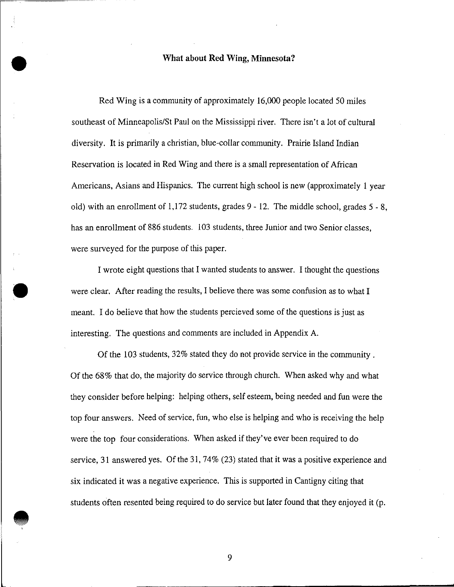# • **What about Red Wing, Minnesota?**

Red Wing is a community of approximately 16,000 people located 50 miles southeast of Minneapolis/St Paul on the Mississippi river. There isn't a lot of cultural diversity. It is primarily a christian, blue-collar community. Prairie Island Indian Reservation is located in Red Wing and there is a small representation of African Americans, Asians and Hispanics. The current high school is new (approximately 1 year old) with an enrollment of 1,172 students, grades 9 - 12. The middle school, grades 5 - 8, has an enrollment of 886 students. 103 students, three Junior and two Senior classes, were surveyed for the purpose of this paper.

I wrote eight questions that I wanted students to answer. I thought the questions were clear. After reading the results, I believe there was some confusion as to what I meant. I do believe that how the students percieved some of the questions is just as interesting. The questions and comments are included in Appendix A.

Of the 103 students, 32% stated they do not provide service in the community . Of the 68% that do, the majority do service through church. When asked why and what they consider before helping: helping others, self esteem, being needed and fun were the top four answers. Need of service, fun, who else is helping and who is receiving the help were the top four considerations. When asked if they've ever been required to do service, 31 answered yes. Of the 31, 74% (23) stated that it was a positive experience and six indicated it was a negative experience. This is supported in Cantigny citing that students often resented being required to do service but later found that they enjoyed it (p.

9

• .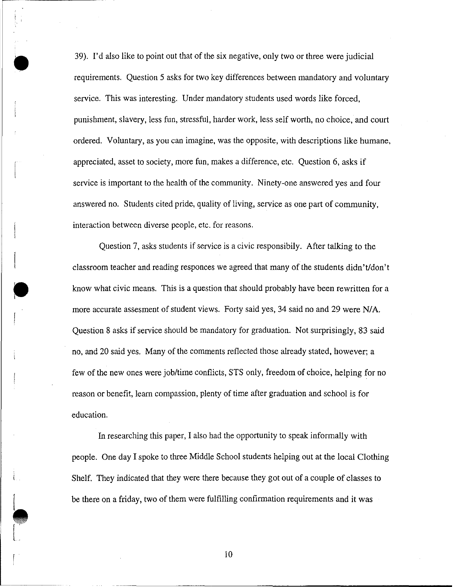39). I'd also like to point out that of the six negative, only two or three were judicial requirements. Question 5 asks for two key differences between mandatory and voluntary service. This was interesting. Under mandatory students used words like forced, punishment, slavery, less fun, stressful, harder work, less self worth, no choice, and court ordered. Voluntary, as you can imagine, was the opposite, with descriptions like humane, appreciated, asset to society, more fun, makes a difference, etc. Question 6, asks if service is important to the health of the community. Ninety-one answered yes and four answered no. Students cited pride, quality of living, service as one part of community, interaction between diverse people, etc. for reasons.

•

 $\bullet$ 

 $\bullet$ 

Question 7, asks students if service is a civic responsibily. After talking to the classroom teacher and reading responces we agreed that many of the students didn't/don't know what civic means. This is a question that should probably have been rewritten for a more accurate assesment of student views. Forty said yes, 34 said no and 29 were N/A. Question 8 asks if service should be mandatory for graduation. Not surprisingly, 83 said no, and 20 said yes. Many of the comments reflected those already stated, however; a few of the new ones were job/time conflicts, STS only, freedom of choice, helping for no reason or benefit, learn compassion, plenty of time after graduation and school is for education.

In researching this paper, I also had the opportunity to speak informally with people. One day I spoke to three Middle School students helping out at the local Clothing Shelf. They indicated that they were there because they got out of a couple of classes to be there on a friday, two of them were fulfilling confirmation requirements and it was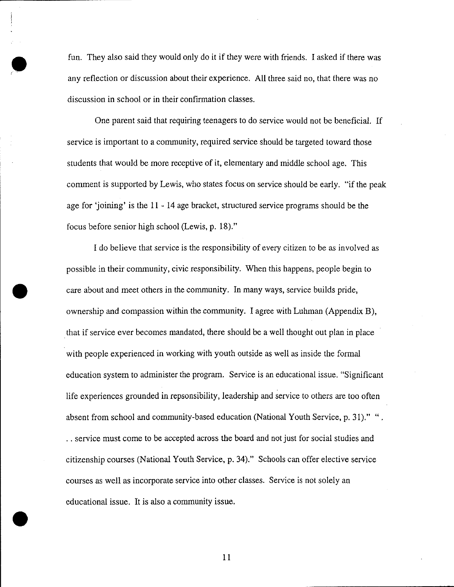• fun. They also said they would only do it if they were with friends. I asked if there was any reflection or discussion about their experience. All three said no, that there was no discussion in school or in their confirmation classes.

One parent said that requiring teenagers to do service would not be beneficial. If service is important to a community, required service should be targeted toward those students that would be more receptive of it, elementary and middle school age. This comment is supported by Lewis, who states focus on service should be early. "if the peak age for 'joining' is the II - 14 age bracket, structured service programs should be the focus before senior high school (Lewis, p. 18)."

I do believe that service is the responsibility of every citizen to be as involved as possible in their community, civic responsibility. When this happens, people begin to • care about and meet others in the community. In many ways, service builds pride, ownership and compassion within the community. I agree with Luhman (Appendix B), . that if service ever becomes mandated, there should be a well thought out plan in place with people experienced in working with youth outside as well as inside the formal education system to administer the program. Service is an educational issue. "Significant life experiences grounded in repsonsibility, leadership and service to others are too often absent from school and community-based education (National Youth Service, p. 31)." " . . . service must come to be accepted across the board and not just for social studies and citizenship courses (National Youth Service, p. 34)." Schools can offer elective service courses as well as incorporate service into other classes. Service is not solely an educational issue. It is also a community issue .

11

•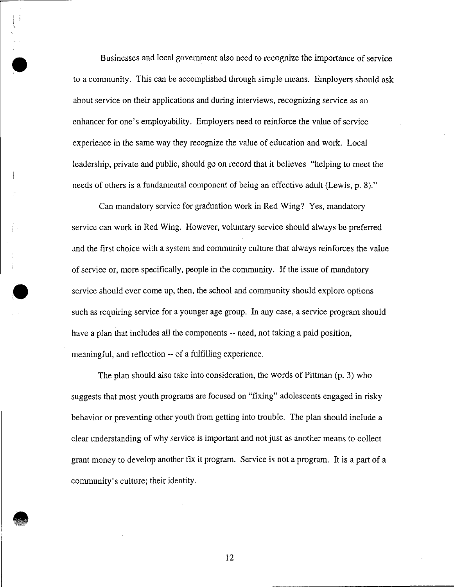Businesses and local government also need to recognize the importance of service to a community. This can be accomplished through simple means. Employers should ask about service on their applications and during interviews, recognizing service as an enhancer for one's employability. Employers need to reinforce the value of service experience in the same way they recognize the value of education and work. Local leadership, private and public, should go on record that it believes "helping to meet the needs of others is a fundamental component of being an effective adult (Lewis, p. 8)."

•

•

**•** 

Can mandatory service for graduation work in Red Wing? Yes, mandatory service can work in Red Wing. However, voluntary service should always be preferred and the first choice with a system and community culture that always reinforces the value of service or, more specifically, people in the community. If the issue of mandatory service should ever come up, then, the school and community should explore options such as requiring service for a younger age group. In any case, a service program should have a plan that includes all the components -- need, not taking a paid position, meaningful, and reflection -- of a fulfilling experience.

The plan should also take into consideration, the words of Pittman (p. 3) who suggests that most youth programs are focused on "fixing" adolescents engaged in risky behavior or preventing other youth from getting into trouble. The plan should include a clear understanding of why service is important and not just as another means to collect grant money to develop another fix it program. Service is not a program. It is a part of a community's culture; their identity.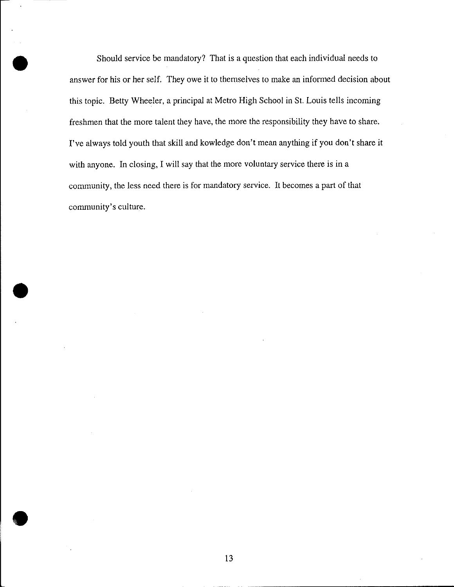Should service be mandatory? That is a question that each individual needs to answer for his or her self. They owe it to themselves to make an infonned decision about this topic. Betty Wheeler, a principal at Metro High School in St. Louis tells incoming freshmen that the more talent they have, the more the responsibility they have to share. I've always told youth that skill and kowledge don't mean anything if you don't share it with anyone. In closing, I will say that the more voluntary service there is in a community, the less need there is for mandatory service. It becomes a part of that community's culture.

•

•

**•**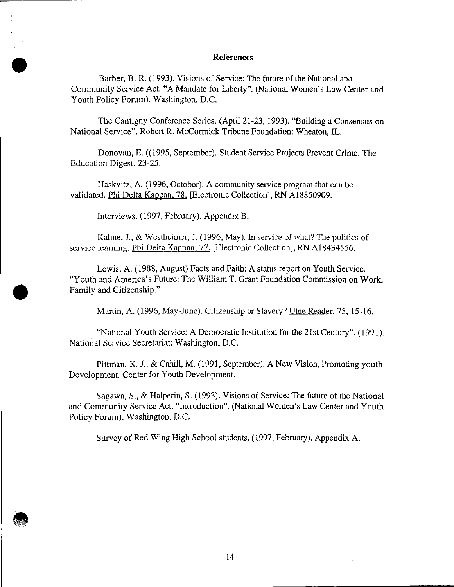#### **References**

Barber, B. R. (1993). Visions of Service: The future of the National and Community Service Act. "A Mandate for Liberty". (National Women's Law Center and Youth Policy Forum). Washington, D.C.

The Cantigny Conference Series. (April 21-23, 1993). "Building a Consensus on National Service". Robert R. McCormick Tribune Foundation: Wheaton, IL.

Donovan, E. ((1995, September). Student Service Projects Prevent Crime. The Education Digest, 23-25.

Haskvitz, A. ( 1996, October). A community service program that can be validated. Phi Delta Kappan, 78, [Electronic Collection], RN A18850909.

Interviews. (1997, February). Appendix B.

•<br>•

•

**•** 

Kahne, **J.,** & Westheimer, J. (1996, May). In service of what? The politics of service learning. Phi Delta Kappan, 77, [Electronic Collection], RN A18434556.

Lewis, A. (1988, August) Facts and Faith: A status report on Youth Service. "Youth and America's Future: The William **T.** Grant Foundation Commission on Work, Family and Citizenship."

Martin, A. (1996, May-June). Citizenship or Slavery? Utne Reader, 75, 15-16.

"National Youth Service: A Democratic Institution for the 21st Century". (1991). National Service Secretariat: Washington, D.C.

Pittman, K. **J.,** & Cahill, M. (1991, September). A New Vision, Promoting youth Development. Center for Youth Development.

Sagawa, S., & Halperin, S. (1993). Visions of Service: The future of the National and Community Service Act. "Introduction". (National Women's Law Center and Youth Policy Forum). Washington, D.C.

Survey of Red Wing High School students. (1997, February). Appendix A .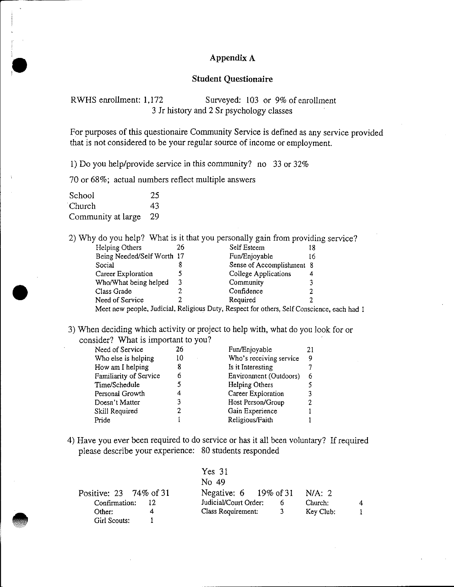#### **Appendix A**

#### **Student Questionaire**

RWHS enrollment: 1,172 Surveyed: 103 or 9% of enrollment 3 Jr history and 2 Sr psychology classes

For purposes of this questionaire Community Service is defined as any service provided that is not considered to be your regular source of income or employment.

I) Do you help/provide service in this community? no 33 or 32%

70 or 68%; actual numbers reflect multiple answers

School 25 Church 43 Community at large 29

•

•

2) Why do you help? What is it that you personally gain from providing service?

| Helping Others                                                                             | 26 | Self Esteem               | 18 |
|--------------------------------------------------------------------------------------------|----|---------------------------|----|
| Being Needed/Self Worth 17                                                                 |    | Fun/Enjoyable             | 16 |
| Social                                                                                     |    | Sense of Accomplishment 8 |    |
| Career Exploration                                                                         |    | College Applications      |    |
| Who/What being helped                                                                      |    | Community                 |    |
| Class Grade                                                                                |    | Confidence                |    |
| Need of Service                                                                            |    | Required                  |    |
| Meet new people, Judicial, Religious Duty, Respect for others, Self Conscience, each had 1 |    |                           |    |

3) When deciding which activity or project to help with, what do you look for or consider? What is important to you?

| Need of Service        | 26 | Fun/Enjoyable           | 21 |
|------------------------|----|-------------------------|----|
| Who else is helping    | 10 | Who's receiving service | 9  |
| How am I helping       | 8  | Is it Interesting       |    |
| Familiarity of Service | 6  | Environment (Outdoors)  | 6  |
| Time/Schedule          | 5  | Helping Others          |    |
| Personal Growth        | 4  | Career Exploration      | 3  |
| Doesn't Matter         | 3  | Host Person/Group       | 2  |
| Skill Required         |    | Gain Experience         |    |
| Pride                  |    | Religious/Faith         |    |

4) Have you ever been required to do service or has it all been voluntary? If required please describe your experience: 80 students responded

|                                 | Yes <sub>31</sub>                       |           |  |
|---------------------------------|-----------------------------------------|-----------|--|
|                                 | No. 49                                  |           |  |
| Positive: $23 \quad 74\%$ of 31 | Negative: $6 \quad 19\% \text{ of } 31$ | N/A: 2    |  |
| Confirmation:                   | Judicial/Court Order:                   | Church:   |  |
| Other:<br>4                     | Class Requirement:<br>3 <sup>1</sup>    | Key Club: |  |
| Girl Scouts:                    |                                         |           |  |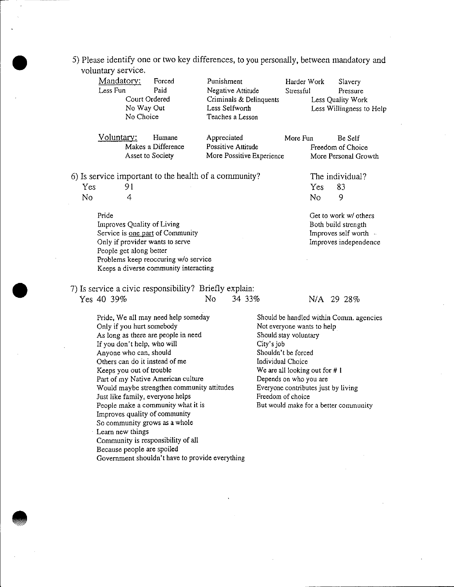#### 5) Please identify one or two key differences, to you personally, between mandatory and voluntary service.

| Mandatory: | Forced             | Punishment                | Harder Work | Slavery                  |
|------------|--------------------|---------------------------|-------------|--------------------------|
| Less Fun   | Paid               | Negative Attitude         | Stressful   | Pressure                 |
|            | Court Ordered      | Criminals & Delinquents   |             | Less Quality Work        |
| No Way Out |                    | Less Selfworth            |             | Less Willingness to Help |
| No Choice  |                    | Teaches a Lesson          |             |                          |
| Voluntary: | Humane             | Appreciated               | More Fun    | Be Self                  |
|            | Makes a Difference | Possitive Attitude        |             | Freedom of Choice        |
|            | Asset to Society   | More Possitive Experience |             | More Personal Growth     |
|            |                    |                           |             |                          |

6) Is service important to the health of a community? The individual?

Yes 91 No 4

•

•

**•** 

Pride

Improves Quality of Living **Service is one part of Community**  Only if provider wants to serve People get along better Problems keep reoccuring w/o service **Keeps a diverse community interacting**  Yes 83 No 9

Get to work w/ others Both build strength Improves self worth Improves independence

7) Is service a civic responsibility? Briefly explain:

| Yes 40 39%                                                       |  | No. | 34 33% |                                                                       | N/A 29 28% |  |  |
|------------------------------------------------------------------|--|-----|--------|-----------------------------------------------------------------------|------------|--|--|
| Pride, We all may need help someday<br>Only if you hurt somebody |  |     |        | Should be handled within Comm. agencies<br>Not everyone wants to help |            |  |  |

As long as there are people in need If you don't help, who will Anyone who can, should Others can do it instead of me Keeps you out of trouble Part of my Native American culture Would maybe strengthen community attitudes Just like family, everyone helps People make a community what it is Improves quality of community So community grows as a whole Learn new things Community is responsibility of all Because people are spoiled

Government shouldn't have to provide everything

Should stay voluntary City's job Shouldn't be forced Individual Choice We are all looking out for  $# 1$ Depends on who you are Everyone contributes just by living Freedom of choice But would make for a better community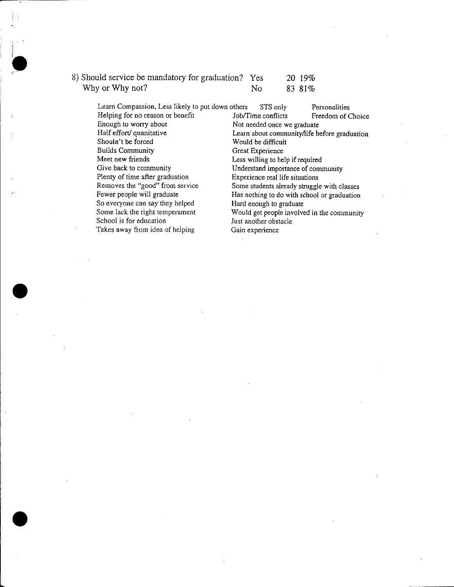| 8) Should service be mandatory for graduation? Yes |    | 20 19% |
|----------------------------------------------------|----|--------|
| Why or Why not?                                    | No | 83 81% |

•

 $\bullet$ 

•

 $\label{eq:2.1} \frac{1}{2} \int_{\mathbb{R}^3} \frac{1}{\sqrt{2}} \, \frac{1}{\sqrt{2}} \, \frac{1}{\sqrt{2}} \, \frac{1}{\sqrt{2}} \, \frac{1}{\sqrt{2}} \, \frac{1}{\sqrt{2}} \, \frac{1}{\sqrt{2}} \, \frac{1}{\sqrt{2}} \, \frac{1}{\sqrt{2}} \, \frac{1}{\sqrt{2}} \, \frac{1}{\sqrt{2}} \, \frac{1}{\sqrt{2}} \, \frac{1}{\sqrt{2}} \, \frac{1}{\sqrt{2}} \, \frac{1}{\sqrt{2}} \, \frac{1}{\sqrt{2}} \,$ 

| Learn Compassion, Less likely to put down others |                  | STS only                           | Personalities                                |
|--------------------------------------------------|------------------|------------------------------------|----------------------------------------------|
| Helping for no reason or benefit                 |                  | Job/Time conflicts                 | Freedom of Choice                            |
| Enough to worry about                            |                  | Not needed once we graduate        |                                              |
| Half effort/ quanitative                         |                  |                                    | Learn about community/life before graduation |
| Shouln't be forced                               |                  | Would be difficult                 |                                              |
| <b>Builds Community</b>                          | Great Experience |                                    |                                              |
| Meet new friends                                 |                  | Less willing to help if required   |                                              |
| Give back to community                           |                  | Understand importance of community |                                              |
| Plenty of time after graduation                  |                  | Experience real life situations    |                                              |
| Removes the "good" from service                  |                  |                                    | Some students already struggle with classes  |
| Fewer people will graduate                       |                  |                                    | Has nothing to do with school or graduation  |
| So everyone can say they helped                  |                  | Hard enough to graduate            |                                              |
| Some lack the right temperament                  |                  |                                    | Would get people involved in the community   |
| School is for education                          |                  | Just another obstacle              |                                              |
| Takes away from idea of helping                  | Gain experience  |                                    |                                              |
|                                                  |                  |                                    |                                              |

 $\label{eq:2.1} \frac{1}{\sqrt{2}}\sum_{i=1}^n\frac{1}{\sqrt{2}}\sum_{i=1}^n\frac{1}{\sqrt{2}}\sum_{i=1}^n\frac{1}{\sqrt{2}}\sum_{i=1}^n\frac{1}{\sqrt{2}}\sum_{i=1}^n\frac{1}{\sqrt{2}}\sum_{i=1}^n\frac{1}{\sqrt{2}}\sum_{i=1}^n\frac{1}{\sqrt{2}}\sum_{i=1}^n\frac{1}{\sqrt{2}}\sum_{i=1}^n\frac{1}{\sqrt{2}}\sum_{i=1}^n\frac{1}{\sqrt{2}}\sum_{i=1}^n\frac$ 

 $\label{eq:2.1} \frac{1}{\sqrt{2}}\int_{\mathbb{R}^3}\frac{1}{\sqrt{2}}\left(\frac{1}{\sqrt{2}}\right)^2\frac{1}{\sqrt{2}}\left(\frac{1}{\sqrt{2}}\right)^2\frac{1}{\sqrt{2}}\left(\frac{1}{\sqrt{2}}\right)^2\frac{1}{\sqrt{2}}\left(\frac{1}{\sqrt{2}}\right)^2\frac{1}{\sqrt{2}}\left(\frac{1}{\sqrt{2}}\right)^2\frac{1}{\sqrt{2}}\frac{1}{\sqrt{2}}\frac{1}{\sqrt{2}}\frac{1}{\sqrt{2}}\frac{1}{\sqrt{2}}\frac{1}{\sqrt{2}}$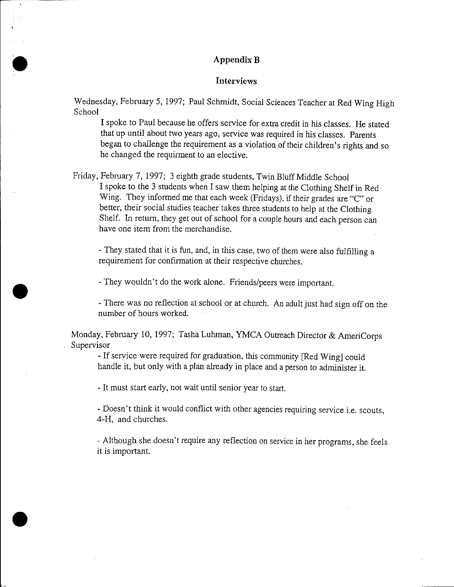#### **AppendixB**

•

•

•

#### **Interviews**

Wednesday, February 5, 1997; Paul Schmidt, Social Sciences Teacher at Red Wing High School

I spoke to Paul because he offers service for extra credit in his classes. He stated that up until about two years ago, service was required in his classes. Parents began to challenge the requirement as a violation of their children's rights and so he changed the requirment to an elective.

Friday, February 7, 1997; 3 eighth grade students, Twin Bluff Middle School I spoke to the 3 students when I saw them helping at the Clothing Shelf in Red Wing. They informed me that each week (Fridays), if their grades are "C" or better, their social studies teacher takes three students to help at the Clothing Shelf. In return, they get out of school for a couple hours and each person can have one item from the merchandise.

- They stated that it is fun, and, in this case, two of them were also fulfilling a requirement for confirmation at their respective churches.

-They wouldn't do the work alone. Friends/peers were important.

- There was no reflection at school or at church. An adult just had sign off on the number of hours worked.

Monday, February 10, 1997; Tasha Luhman, YMCA Outreach Director & AmeriCorps Supervisor

- If service were required for graduation, this community [Red Wing] could handle it, but only with a plan already in place and a person to administer it.

-It must start early, not wait until senior year to start.

- Doesn't think it would conflict with other agencies requiring service i.e. scouts, 4-H, and churches.

-Although she doesn't require any reflection on service in her programs, she feels it is important.